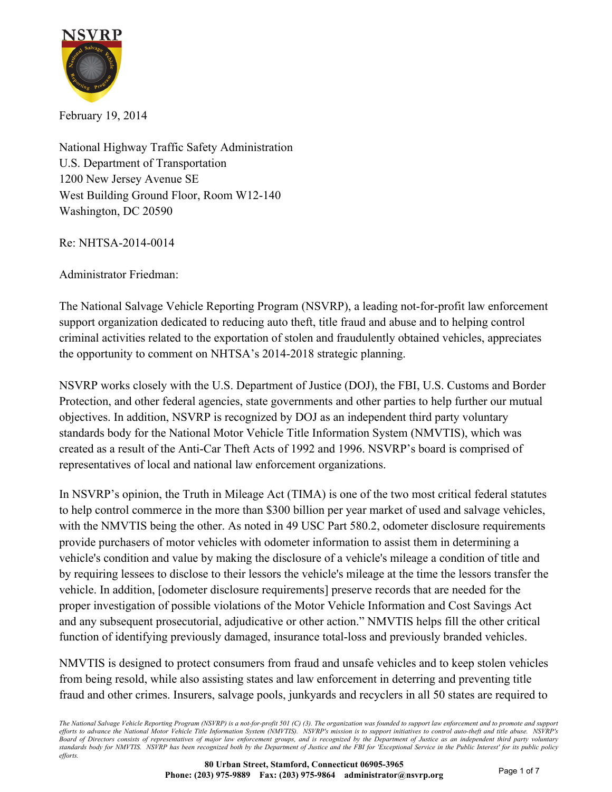

February 19, 2014

National Highway Traffic Safety Administration U.S. Department of Transportation 1200 New Jersey Avenue SE West Building Ground Floor, Room W12-140 Washington, DC 20590

Re: NHTSA-2014-0014

Administrator Friedman:

The National Salvage Vehicle Reporting Program (NSVRP), a leading not-for-profit law enforcement support organization dedicated to reducing auto theft, title fraud and abuse and to helping control criminal activities related to the exportation of stolen and fraudulently obtained vehicles, appreciates the opportunity to comment on NHTSA's 2014-2018 strategic planning.

NSVRP works closely with the U.S. Department of Justice (DOJ), the FBI, U.S. Customs and Border Protection, and other federal agencies, state governments and other parties to help further our mutual objectives. In addition, NSVRP is recognized by DOJ as an independent third party voluntary standards body for the National Motor Vehicle Title Information System (NMVTIS), which was created as a result of the Anti-Car Theft Acts of 1992 and 1996. NSVRP's board is comprised of representatives of local and national law enforcement organizations.

In NSVRP's opinion, the Truth in Mileage Act (TIMA) is one of the two most critical federal statutes to help control commerce in the more than \$300 billion per year market of used and salvage vehicles, with the NMVTIS being the other. As noted in 49 USC Part 580.2, odometer disclosure requirements provide purchasers of motor vehicles with odometer information to assist them in determining a vehicle's condition and value by making the disclosure of a vehicle's mileage a condition of title and by requiring lessees to disclose to their lessors the vehicle's mileage at the time the lessors transfer the vehicle. In addition, [odometer disclosure requirements] preserve records that are needed for the proper investigation of possible violations of the Motor Vehicle Information and Cost Savings Act and any subsequent prosecutorial, adjudicative or other action." NMVTIS helps fill the other critical function of identifying previously damaged, insurance total-loss and previously branded vehicles.

NMVTIS is designed to protect consumers from fraud and unsafe vehicles and to keep stolen vehicles from being resold, while also assisting states and law enforcement in deterring and preventing title fraud and other crimes. Insurers, salvage pools, junkyards and recyclers in all 50 states are required to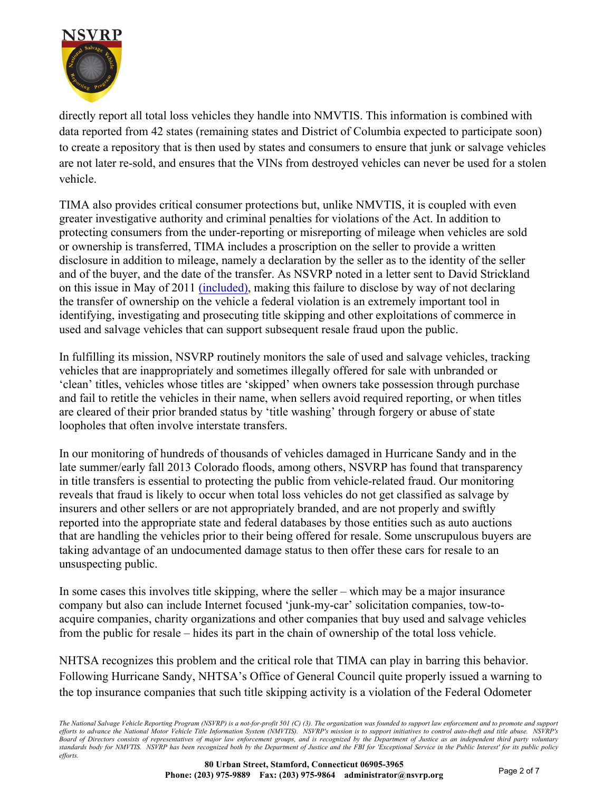

directly report all total loss vehicles they handle into NMVTIS. This information is combined with data reported from 42 states (remaining states and District of Columbia expected to participate soon) to create a repository that is then used by states and consumers to ensure that junk or salvage vehicles are not later re-sold, and ensures that the VINs from destroyed vehicles can never be used for a stolen vehicle.

TIMA also provides critical consumer protections but, unlike NMVTIS, it is coupled with even greater investigative authority and criminal penalties for violations of the Act. In addition to protecting consumers from the under-reporting or misreporting of mileage when vehicles are sold or ownership is transferred, TIMA includes a proscription on the seller to provide a written disclosure in addition to mileage, namely a declaration by the seller as to the identity of the seller and of the buyer, and the date of the transfer. As NSVRP noted in a letter sent to David Strickland on this issue in May of 2011 [\(included\),](#page-4-0) making this failure to disclose by way of not declaring the transfer of ownership on the vehicle a federal violation is an extremely important tool in identifying, investigating and prosecuting title skipping and other exploitations of commerce in used and salvage vehicles that can support subsequent resale fraud upon the public.

In fulfilling its mission, NSVRP routinely monitors the sale of used and salvage vehicles, tracking vehicles that are inappropriately and sometimes illegally offered for sale with unbranded or 'clean' titles, vehicles whose titles are 'skipped' when owners take possession through purchase and fail to retitle the vehicles in their name, when sellers avoid required reporting, or when titles are cleared of their prior branded status by 'title washing' through forgery or abuse of state loopholes that often involve interstate transfers.

In our monitoring of hundreds of thousands of vehicles damaged in Hurricane Sandy and in the late summer/early fall 2013 Colorado floods, among others, NSVRP has found that transparency in title transfers is essential to protecting the public from vehicle-related fraud. Our monitoring reveals that fraud is likely to occur when total loss vehicles do not get classified as salvage by insurers and other sellers or are not appropriately branded, and are not properly and swiftly reported into the appropriate state and federal databases by those entities such as auto auctions that are handling the vehicles prior to their being offered for resale. Some unscrupulous buyers are taking advantage of an undocumented damage status to then offer these cars for resale to an unsuspecting public.

In some cases this involves title skipping, where the seller – which may be a major insurance company but also can include Internet focused 'junk-my-car' solicitation companies, tow-toacquire companies, charity organizations and other companies that buy used and salvage vehicles from the public for resale – hides its part in the chain of ownership of the total loss vehicle.

NHTSA recognizes this problem and the critical role that TIMA can play in barring this behavior. Following Hurricane Sandy, NHTSA's Office of General Council quite properly issued a warning to the top insurance companies that such title skipping activity is a violation of the Federal Odometer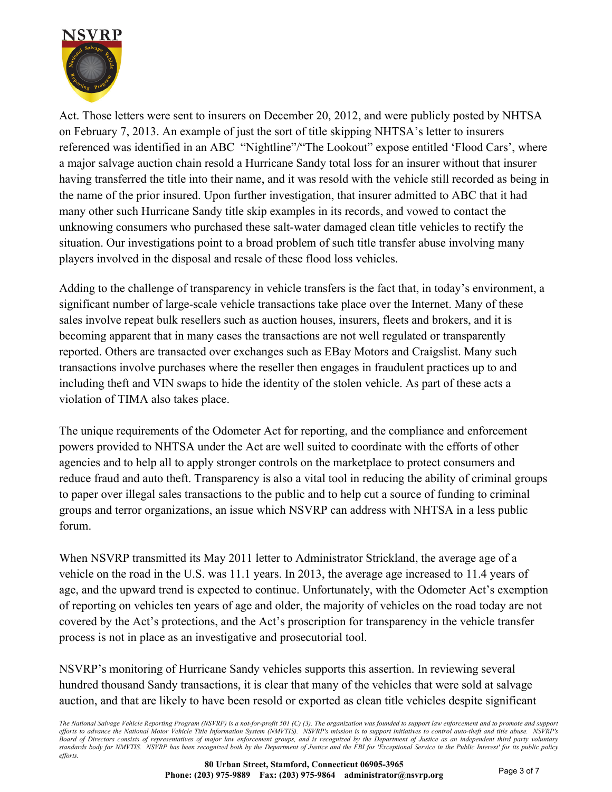

Act. Those letters were sent to insurers on December 20, 2012, and were publicly posted by NHTSA on February 7, 2013. An example of just the sort of title skipping NHTSA's letter to insurers referenced was identified in an ABC "Nightline"/"The Lookout" expose entitled 'Flood Cars', where a major salvage auction chain resold a Hurricane Sandy total loss for an insurer without that insurer having transferred the title into their name, and it was resold with the vehicle still recorded as being in the name of the prior insured. Upon further investigation, that insurer admitted to ABC that it had many other such Hurricane Sandy title skip examples in its records, and vowed to contact the unknowing consumers who purchased these salt-water damaged clean title vehicles to rectify the situation. Our investigations point to a broad problem of such title transfer abuse involving many players involved in the disposal and resale of these flood loss vehicles.

Adding to the challenge of transparency in vehicle transfers is the fact that, in today's environment, a significant number of large-scale vehicle transactions take place over the Internet. Many of these sales involve repeat bulk resellers such as auction houses, insurers, fleets and brokers, and it is becoming apparent that in many cases the transactions are not well regulated or transparently reported. Others are transacted over exchanges such as EBay Motors and Craigslist. Many such transactions involve purchases where the reseller then engages in fraudulent practices up to and including theft and VIN swaps to hide the identity of the stolen vehicle. As part of these acts a violation of TIMA also takes place.

The unique requirements of the Odometer Act for reporting, and the compliance and enforcement powers provided to NHTSA under the Act are well suited to coordinate with the efforts of other agencies and to help all to apply stronger controls on the marketplace to protect consumers and reduce fraud and auto theft. Transparency is also a vital tool in reducing the ability of criminal groups to paper over illegal sales transactions to the public and to help cut a source of funding to criminal groups and terror organizations, an issue which NSVRP can address with NHTSA in a less public forum.

When NSVRP transmitted its May 2011 letter to Administrator Strickland, the average age of a vehicle on the road in the U.S. was 11.1 years. In 2013, the average age increased to 11.4 years of age, and the upward trend is expected to continue. Unfortunately, with the Odometer Act's exemption of reporting on vehicles ten years of age and older, the majority of vehicles on the road today are not covered by the Act's protections, and the Act's proscription for transparency in the vehicle transfer process is not in place as an investigative and prosecutorial tool.

NSVRP's monitoring of Hurricane Sandy vehicles supports this assertion. In reviewing several hundred thousand Sandy transactions, it is clear that many of the vehicles that were sold at salvage auction, and that are likely to have been resold or exported as clean title vehicles despite significant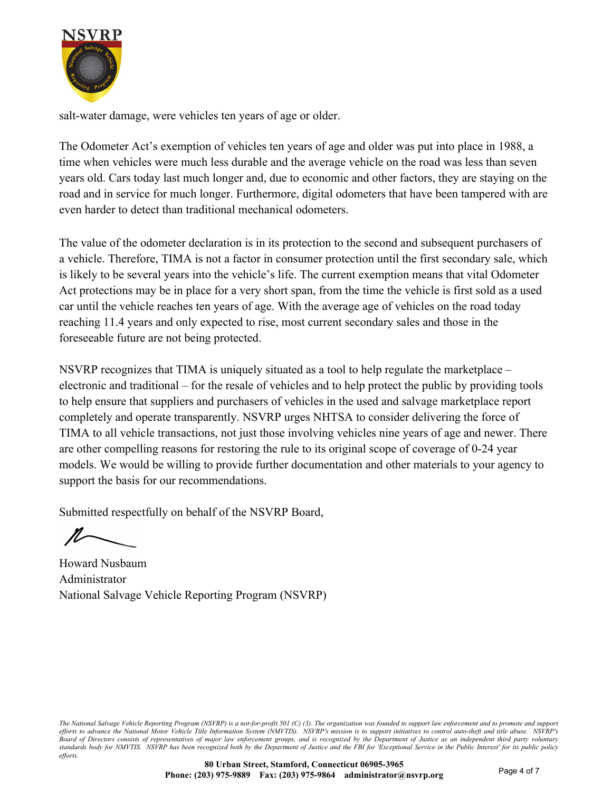

salt-water damage, were vehicles ten years of age or older.

The Odometer Act's exemption of vehicles ten years of age and older was put into place in 1988, a time when vehicles were much less durable and the average vehicle on the road was less than seven years old. Cars today last much longer and, due to economic and other factors, they are staying on the road and in service for much longer. Furthermore, digital odometers that have been tampered with are even harder to detect than traditional mechanical odometers.

The value of the odometer declaration is in its protection to the second and subsequent purchasers of a vehicle. Therefore, TIMA is not a factor in consumer protection until the first secondary sale, which is likely to be several years into the vehicle's life. The current exemption means that vital Odometer Act protections may be in place for a very short span, from the time the vehicle is first sold as a used car until the vehicle reaches ten years of age. With the average age of vehicles on the road today reaching 11.4 years and only expected to rise, most current secondary sales and those in the foreseeable future are not being protected.

NSVRP recognizes that TIMA is uniquely situated as a tool to help regulate the marketplace – electronic and traditional – for the resale of vehicles and to help protect the public by providing tools to help ensure that suppliers and purchasers of vehicles in the used and salvage marketplace report completely and operate transparently. NSVRP urges NHTSA to consider delivering the force of TIMA to all vehicle transactions, not just those involving vehicles nine years of age and newer. There are other compelling reasons for restoring the rule to its original scope of coverage of 0-24 year models. We would be willing to provide further documentation and other materials to your agency to support the basis for our recommendations.

Submitted respectfully on behalf of the NSVRP Board,

Howard Nusbaum Administrator National Salvage Vehicle Reporting Program (NSVRP)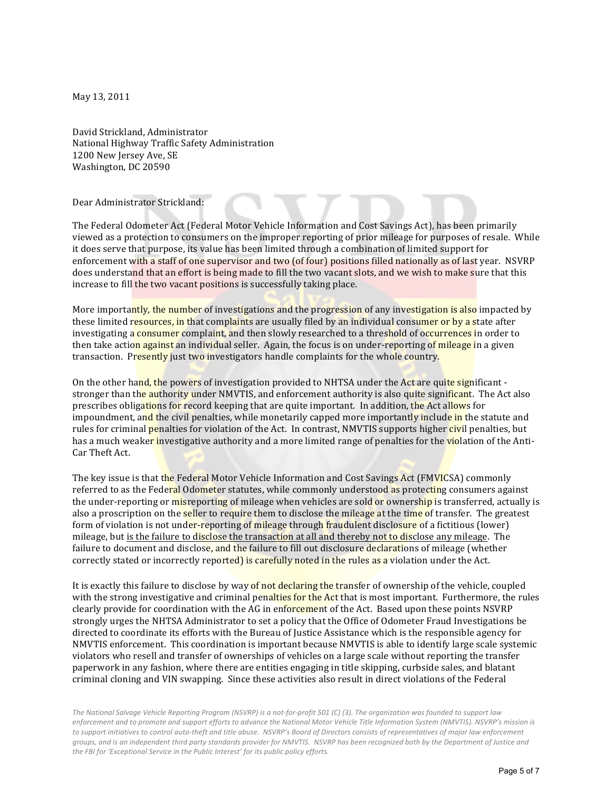<span id="page-4-0"></span>May 13, 2011

David Strickland, Administrator National Highway Traffic Safety Administration 1200 New Jersey Ave, SE Washington, DC 20590

Dear Administrator Strickland:

The Federal Odometer Act (Federal Motor Vehicle Information and Cost Savings Act), has been primarily viewed as a protection to consumers on the improper reporting of prior mileage for purposes of resale. While it does serve that purpose, its value has been limited through a combination of limited support for enforcement with a staff of one supervisor and two (of four) positions filled nationally as of last year. NSVRP does understand that an effort is being made to fill the two vacant slots, and we wish to make sure that this increase to fill the two vacant positions is successfully taking place.

More importantly, the number of investigations and the progression of any investigation is also impacted by these limited resources, in that complaints are usually filed by an individual consumer or by a state after investigating a consumer complaint, and then slowly researched to a threshold of occurrences in order to then take action against an individual seller. Again, the focus is on under-reporting of mileage in a given transaction. Presently just two investigators handle complaints for the whole country.

On the other hand, the powers of investigation provided to NHTSA under the Act are quite significant stronger than the authority under NMVTIS, and enforcement authority is also quite significant. The Act also prescribes obligations for record keeping that are quite important. In addition, the Act allows for impoundment, and the civil penalties, while monetarily capped more importantly include in the statute and rules for criminal **penalties** for violation of the Act. In contrast, NMVTIS supports higher *civil* penalties, but has a much weaker investigative authority and a more limited range of penalties for the violation of the Anti-Car Theft Act.

The key issue is that the Federal Motor Vehicle Information and Cost Savings Act (FMVICSA) commonly referred to as the Federal Odometer statutes, while commonly understood as protecting consumers against the under-reporting or misreporting of mileage when vehicles are sold or ownership is transferred, actually is also a proscription on the **seller** to require them to disclose the mileage at the time of transfer. The greatest form of violation is not under-reporting of mileage through fraudulent disclosure of a fictitious (lower) mileage, but is the failure to disclose the transaction at all and thereby not to disclose any mileage. The failure to document and disclose, and the failure to fill out disclosure declarations of mileage (whether correctly stated or incorrectly reported) is carefully noted in the rules as a violation under the Act.

It is exactly this failure to disclose by way of not declaring the transfer of ownership of the vehicle, coupled with the strong investigative and criminal penalties for the Act that is most important. Furthermore, the rules clearly provide for coordination with the AG in enforcement of the Act. Based upon these points NSVRP strongly urges the NHTSA Administrator to set a policy that the Office of Odometer Fraud Investigations be directed to coordinate its efforts with the Bureau of Justice Assistance which is the responsible agency for NMVTIS enforcement. This coordination is important because NMVTIS is able to identify large scale systemic violators who resell and transfer of ownerships of vehicles on a large scale without reporting the transfer paperwork in any fashion, where there are entities engaging in title skipping, curbside sales, and blatant criminal cloning and VIN swapping. Since these activities also result in direct violations of the Federal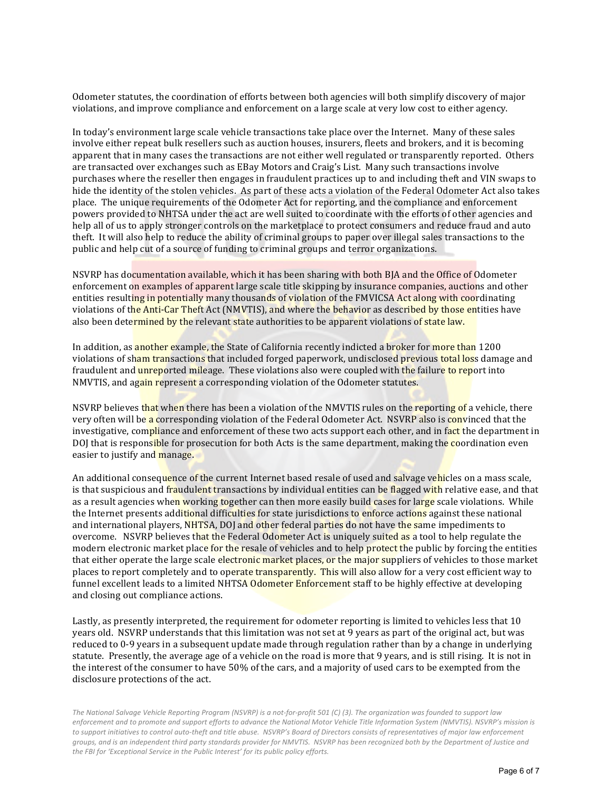Odometer statutes, the coordination of efforts between both agencies will both simplify discovery of major violations, and improve compliance and enforcement on a large scale at very low cost to either agency.

In today's environment large scale vehicle transactions take place over the Internet. Many of these sales involve either repeat bulk resellers such as auction houses, insurers, fleets and brokers, and it is becoming apparent that in many cases the transactions are not either well regulated or transparently reported. Others are transacted over exchanges such as EBay Motors and Craig's List. Many such transactions involve purchases where the reseller then engages in fraudulent practices up to and including theft and VIN swaps to hide the identity of the stolen vehicles. As part of these acts a violation of the Federal Odometer Act also takes place. The unique requirements of the Odometer Act for reporting, and the compliance and enforcement powers provided to NHTSA under the act are well suited to coordinate with the efforts of other agencies and help all of us to apply stronger controls on the marketplace to protect consumers and reduce fraud and auto theft. It will also help to reduce the ability of criminal groups to paper over illegal sales transactions to the public and help cut of a source of funding to criminal groups and terror organizations.

NSVRP has documentation available, which it has been sharing with both BJA and the Office of Odometer enforcement on examples of apparent large scale title skipping by insurance companies, auctions and other entities resulting in potentially many thousands of violation of the FMVICSA Act along with coordinating violations of the Anti-Car Theft Act (NMVTIS), and where the behavior as described by those entities have also been determined by the relevant state authorities to be apparent violations of state law.

In addition, as **another** example, the State of California recently indicted a broker for more than 1200 violations of sham transactions that included forged paperwork, undisclosed previous total loss damage and fraudulent and **unreported mileage.** These violations also were coupled with the failure to report into NMVTIS, and again represent a corresponding violation of the Odometer statutes.

NSVRP believes that when there has been a violation of the NMVTIS rules on the reporting of a vehicle, there very often will be a corresponding violation of the Federal Odometer Act. NSVRP also is convinced that the investigative, compliance and enforcement of these two acts support each other, and in fact the department in DOJ that is responsible for prosecution for both Acts is the same department, making the coordination even easier to justify and manage.

An additional consequence of the current Internet based resale of used and salvage vehicles on a mass scale, is that suspicious and fraudulent transactions by individual entities can be flagged with relative ease, and that as a result agencies when working together can then more easily build cases for large scale violations. While the Internet presents additional difficulties for state jurisdictions to enforce actions against these national and international players, NHTSA, DOJ and other federal parties do not have the same impediments to overcome. NSVRP believes that the Federal Odometer Act is uniquely suited as a tool to help regulate the modern electronic market place for the resale of vehicles and to help protect the public by forcing the entities that either operate the large scale electronic market places, or the major suppliers of vehicles to those market places to report completely and to operate transparently. This will also allow for a very cost efficient way to funnel excellent leads to a limited NHTSA Odometer Enforcement staff to be highly effective at developing and closing out compliance actions.

Lastly, as presently interpreted, the requirement for odometer reporting is limited to vehicles less that 10 years old. NSVRP understands that this limitation was not set at 9 years as part of the original act, but was reduced to 0-9 years in a subsequent update made through regulation rather than by a change in underlying statute. Presently, the average age of a vehicle on the road is more that 9 years, and is still rising. It is not in the interest of the consumer to have 50% of the cars, and a majority of used cars to be exempted from the disclosure protections of the act.